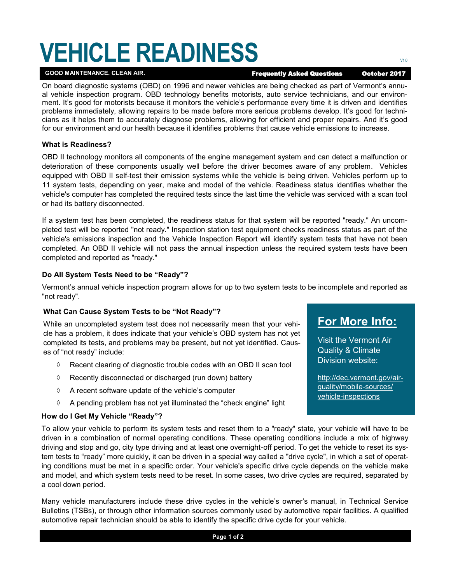# **VEHICLE READINESS EXECUTER**

GOOD MAINTENANCE. CLEAN AIR. **Example 2017 Frequently Asked Questions October 2017** 

On board diagnostic systems (OBD) on 1996 and newer vehicles are being checked as part of Vermont's annual vehicle inspection program. OBD technology benefits motorists, auto service technicians, and our environment. It's good for motorists because it monitors the vehicle's performance every time it is driven and identifies problems immediately, allowing repairs to be made before more serious problems develop. It's good for technicians as it helps them to accurately diagnose problems, allowing for efficient and proper repairs. And it's good for our environment and our health because it identifies problems that cause vehicle emissions to increase.

#### **What is Readiness?**

OBD II technology monitors all components of the engine management system and can detect a malfunction or deterioration of these components usually well before the driver becomes aware of any problem. Vehicles equipped with OBD II self-test their emission systems while the vehicle is being driven. Vehicles perform up to 11 system tests, depending on year, make and model of the vehicle. Readiness status identifies whether the vehicle's computer has completed the required tests since the last time the vehicle was serviced with a scan tool or had its battery disconnected.

If a system test has been completed, the readiness status for that system will be reported "ready." An uncompleted test will be reported "not ready." Inspection station test equipment checks readiness status as part of the vehicle's emissions inspection and the Vehicle Inspection Report will identify system tests that have not been completed. An OBD II vehicle will not pass the annual inspection unless the required system tests have been completed and reported as "ready."

### **Do All System Tests Need to be "Ready"?**

Vermont's annual vehicle inspection program allows for up to two system tests to be incomplete and reported as "not ready".

### **What Can Cause System Tests to be "Not Ready"?**

While an uncompleted system test does not necessarily mean that your vehicle has a problem, it does indicate that your vehicle's OBD system has not yet completed its tests, and problems may be present, but not yet identified. Causes of "not ready" include:

- $\Diamond$  Recent clearing of diagnostic trouble codes with an OBD II scan tool
- $\Diamond$  Recently disconnected or discharged (run down) battery
- $\Diamond$  A recent software update of the vehicle's computer
- $\Diamond$  A pending problem has not yet illuminated the "check engine" light

#### **How do I Get My Vehicle "Ready"?**

To allow your vehicle to perform its system tests and reset them to a "ready" state, your vehicle will have to be driven in a combination of normal operating conditions. These operating conditions include a mix of highway driving and stop and go, city type driving and at least one overnight-off period. To get the vehicle to reset its system tests to "ready" more quickly, it can be driven in a special way called a "drive cycle", in which a set of operating conditions must be met in a specific order. Your vehicle's specific drive cycle depends on the vehicle make and model, and which system tests need to be reset. In some cases, two drive cycles are required, separated by a cool down period.

Many vehicle manufacturers include these drive cycles in the vehicle's owner's manual, in Technical Service Bulletins (TSBs), or through other information sources commonly used by automotive repair facilities. A qualified automotive repair technician should be able to identify the specific drive cycle for your vehicle.

## **For More Info:**

Visit the Vermont Air Quality & Climate Division website:

[http://dec.vermont.gov/air](http://dec.vermont.gov/air-quality/mobile-sources/vehicle-inspections)[quality/mobile](http://dec.vermont.gov/air-quality/mobile-sources/vehicle-inspections)-sources/ vehicle-[inspections](http://dec.vermont.gov/air-quality/mobile-sources/vehicle-inspections)

**Page 1 of 2**